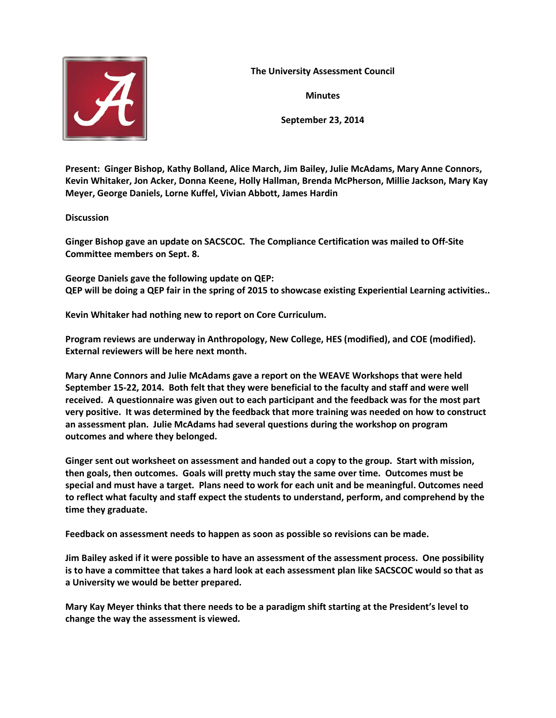

**The University Assessment Council**

**Minutes**

**September 23, 2014**

**Present: Ginger Bishop, Kathy Bolland, Alice March, Jim Bailey, Julie McAdams, Mary Anne Connors, Kevin Whitaker, Jon Acker, Donna Keene, Holly Hallman, Brenda McPherson, Millie Jackson, Mary Kay Meyer, George Daniels, Lorne Kuffel, Vivian Abbott, James Hardin**

## **Discussion**

**Ginger Bishop gave an update on SACSCOC. The Compliance Certification was mailed to Off-Site Committee members on Sept. 8.**

**George Daniels gave the following update on QEP: QEP will be doing a QEP fair in the spring of 2015 to showcase existing Experiential Learning activities..** 

**Kevin Whitaker had nothing new to report on Core Curriculum.**

**Program reviews are underway in Anthropology, New College, HES (modified), and COE (modified). External reviewers will be here next month.** 

**Mary Anne Connors and Julie McAdams gave a report on the WEAVE Workshops that were held September 15-22, 2014. Both felt that they were beneficial to the faculty and staff and were well received. A questionnaire was given out to each participant and the feedback was for the most part very positive. It was determined by the feedback that more training was needed on how to construct an assessment plan. Julie McAdams had several questions during the workshop on program outcomes and where they belonged.** 

**Ginger sent out worksheet on assessment and handed out a copy to the group. Start with mission, then goals, then outcomes. Goals will pretty much stay the same over time. Outcomes must be special and must have a target. Plans need to work for each unit and be meaningful. Outcomes need to reflect what faculty and staff expect the students to understand, perform, and comprehend by the time they graduate.** 

**Feedback on assessment needs to happen as soon as possible so revisions can be made.** 

**Jim Bailey asked if it were possible to have an assessment of the assessment process. One possibility is to have a committee that takes a hard look at each assessment plan like SACSCOC would so that as a University we would be better prepared.** 

**Mary Kay Meyer thinks that there needs to be a paradigm shift starting at the President's level to change the way the assessment is viewed.**